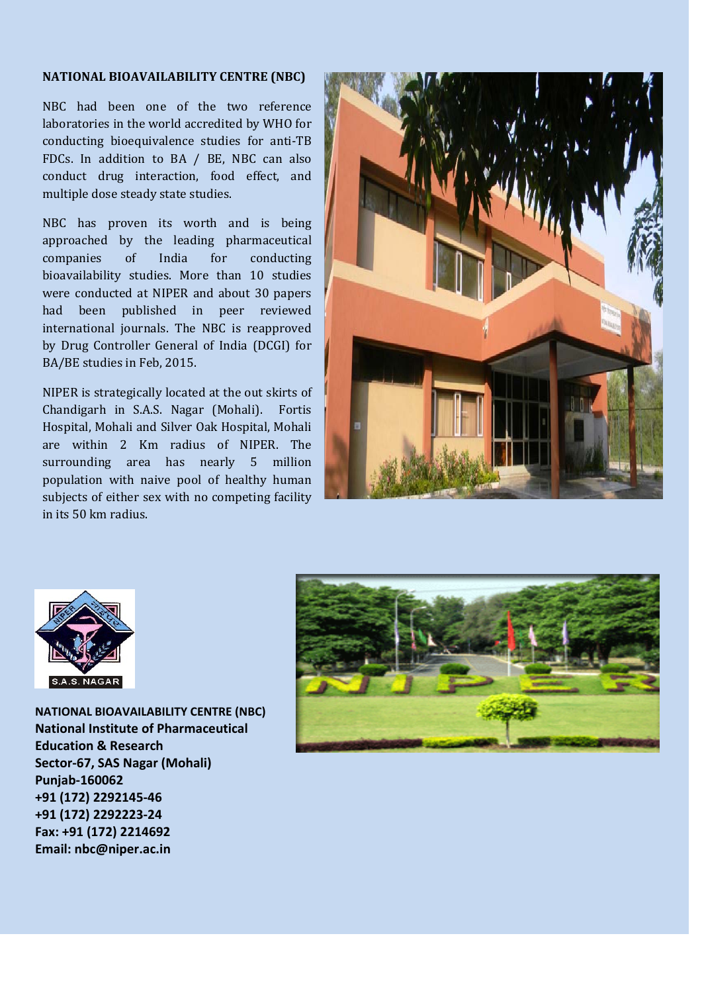## **NATIONAL BIOAVAILABILITY CENTRE (NBC)**

NBC had been one of the two reference laboratories in the world accredited by WHO for conducting bioequivalence studies for anti-TB FDCs. In addition to BA / BE, NBC can also conduct drug interaction, food effect, and multiple dose steady state studies.

NBC has proven its worth and is being approached by the leading pharmaceutical companies of India for conducting bioavailability studies. More than 10 studies were conducted at NIPER and about 30 papers had been published in peer reviewed international journals. The NBC is reapproved by Drug Controller General of India (DCGI) for BA/BE studies in Feb, 2015.

NIPER is strategically located at the out skirts of Chandigarh in S.A.S. Nagar (Mohali). Fortis Hospital, Mohali and Silver Oak Hospital, Mohali are within 2 Km radius of NIPER. The surrounding area has nearly 5 million population with naive pool of healthy human subjects of either sex with no competing facility in its 50 km radius.





**NATIONAL BIOAVAILABILITY CENTRE (NBC) National Institute of Pharmaceutical Education & Research Sector-67, SAS Nagar (Mohali) Punjab-160062 +91 (172) 2292145-46 +91 (172) 2292223-24 Fax: +91 (172) 2214692 Email: nbc@niper.ac.in**